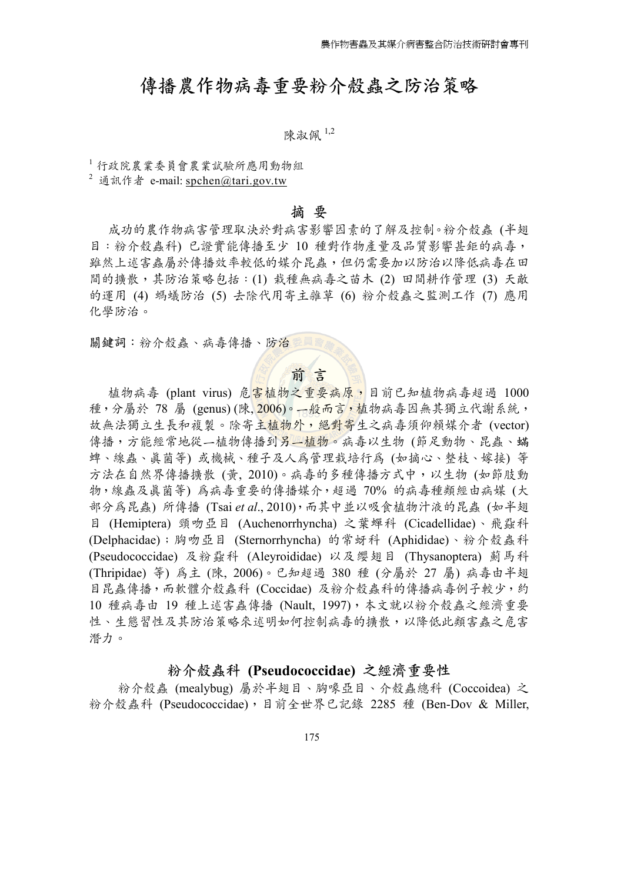## 傳播農作物病毒重要粉介殼蟲之防治策略

陳淑佩 1,2

<sup>1</sup>行政院農業委員會農業試驗所應用動物組

 $2 \nmid \hat{\mathbb{R}}$   $\hat{\mathbb{R}}$   $\hat{\mathbb{R}}$   $\hat{\mathbb{R}}$  e-mail: spchen@tari.gov.tw

#### **摘 要**

 成功的農作物病害管理取決於對病害影響因素的了解及控制。粉介殼蟲 (半翅 目:粉介殼蟲科) 已證實能傳播至少 10 種對作物產量及品質影響甚鉅的病毒, 雖然上述害蟲屬於傳播效率較低的媒介昆蟲,但仍需要加以防治以降低病毒在田 間的擴散,其防治策略包括:(1) 栽種無病毒之苗木 (2) 田間耕作管理 (3) 天敵 的運用 (4) 螞蟻防治 (5) 去除代用寄主雜草 (6) 粉介殼蟲之監測工作 (7) 應用 化學防治。

關鍵詞:粉介殼蟲、病毒傳播、防治垂

## **前 言**

植物病毒 (plant virus) 危害植物之重要病原,目前已知植物病毒超過 1000 種,分屬於 78 屬 (genus) (陳、2006)。––般而言,植物病毒因無其獨立代謝系統, 故無法獨立生長和複製。除寄主植物外,絕對寄生之病毒須仰賴媒介者 (vector) 傳播,方能經常地從一植物傳播到另一植物。病毒以生物(節足動物、昆蟲、蟎 蜱、線蟲、真菌等) 或機械、種子及人為管理栽培行為 (如摘心、整枝、嫁接) 等 方法在自然界傳播擴散 (黃, 2010)。病毒的多種傳播方式中,以生物 (如節肢動 物,線蟲及真菌等) 為病毒重要的傳播媒介,超過 70% 的病毒種類經由病媒 (大 部分為昆蟲) 所傳播 (Tsai *et al*., 2010),而其中並以吸食植物汁液的昆蟲 (如半翅 目 (Hemiptera) 頸吻亞目 (Auchenorrhyncha) 之葉蟬科 (Cicadellidae)、飛蝨科 (Delphacidae);胸吻亞目 (Sternorrhyncha) 的常蚜科 (Aphididae)、粉介殼蟲科 (Pseudococcidae) 及粉蝨科 (Aleyroididae) 以及纓翅目 (Thysanoptera) 薊馬科 (Thripidae) 等) 為主 (陳, 2006)。已知超過 380 種 (分屬於 27 屬) 病毒由半翅 目昆蟲傳播,而軟體介殼蟲科 (Coccidae) 及粉介殼蟲科的傳播病毒例子較少,約 10 種病毒由 19 種上述害蟲傳播 (Nault, 1997),本文就以粉介殼蟲之經濟重要 性、生態習性及其防治策略來述明如何控制病毒的擴散,以降低此類害蟲之危害 潛力。

## **粉介殼蟲科 (Pseudococcidae) 之經濟重要性**

 粉介殼蟲 (mealybug) 屬於半翅目、胸喙亞目、介殼蟲總科 (Coccoidea) 之 粉介殼蟲科 (Pseudococcidae),目前全世界已記錄 2285 種 (Ben-Dov & Miller,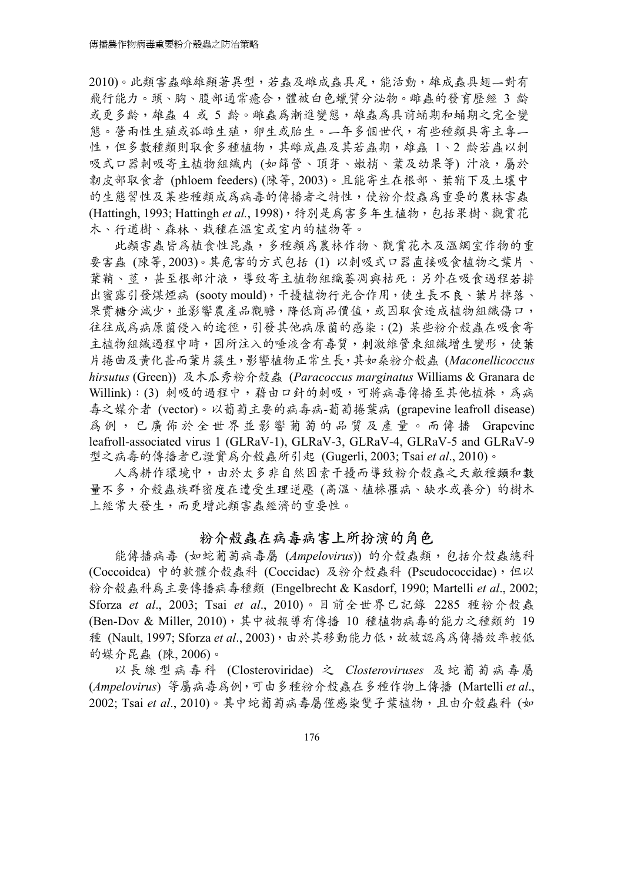2010)。此類害蟲雌雄顯著異型,若蟲及雌成蟲具足,能活動,雄成蟲具翅一對有 飛行能力。頭、胸、腹部通常癒合,體被白色蠟質分泌物。雌蟲的發育歷經 3 齡 或更多齡,雄蟲 4 或 5 齡。雌蟲為漸進變態,雄蟲為具前蛹期和蛹期之完全變 態。營兩性生殖或孤雌生殖,卵生或胎生。一年多個世代,有些種類具寄主專一 性,但多數種類則取食多種植物,其雌成蟲及其若蟲期,雄蟲 1、2 齡若蟲以刺 吸式口器刺吸寄主植物組織内 (如篩管、頂芽、嫩梢、葉及幼果等) 汁液,屬於 韌皮部取食者 (phloem feeders) (陳等, 2003)。且能寄生在根部、葉鞘下及土壤中 的生態習性及某些種類成為病毒的傳播者之特性,使粉介殼蟲為重要的農林害蟲 (Hattingh, 1993; Hattingh *et al.*, 1998),特別是為害多年生植物,包括果樹、觀賞花 木、行道樹、森林、栽種在溫室或室內的植物等。

此類害蟲皆為植食性昆蟲,多種類為農林作物、觀賞花木及溫網室作物的重 要害蟲 (陳等, 2003)。其危害的方式包括 (1) 以刺吸式口器直接吸食植物之葉片、 葉鞘、莖,甚至根部汁液,導致寄主植物組織萎凋與枯死;另外在吸食過程若排 出蜜露引發煤煙病 (sooty mould),干擾植物行光合作用,使生長不良、葉片掉落、 果實糖分減少,並影響農產品觀瞻,降低商品價值,或因取食造成植物組織傷口, 往往成為病原菌侵入的途徑,引發其他病原菌的感染;(2) 某些粉介殼蟲在吸食寄 主植物組織過程中時,因所注入的唾液含有毒質,刺激維管束組織增生變形,使葉 片捲曲及黃化甚而葉片簇生,影響植物正常生長,其如桑粉介殼蟲 (*Maconellicoccus hirsutus* (Green)) 及木瓜秀粉介殼蟲 (*Paracoccus marginatus* Williams & Granara de Willink);(3) 刺吸的過程中,藉由口針的刺吸,可將病毒傳播至其他植株,為病 毒之媒介者 (vector)。以葡萄主要的病毒病-葡萄捲葉病 (grapevine leafroll disease) 為例,已廣佈於全世界並影響葡萄的品質及產量。而傳播 Grapevine leafroll-associated virus 1 (GLRaV-1), GLRaV-3, GLRaV-4, GLRaV-5 and GLRaV-9 型之病毒的傳播者已證實為介殼蟲所引起 (Gugerli, 2003; Tsai *et al*., 2010)。

人為耕作環境中,由於太多非自然因素干擾而導致粉介殼蟲之天敵種類和數 量不多,介殼蟲族群密度在遭受生理逆壓 (高溫、植株罹病、缺水或養分) 的樹木 上經常大發生,而更增此類害蟲經濟的重要性。

## **粉介殼蟲在病毒病害上所扮演的角色**

能傳播病毒 (如蛇葡萄病毒屬 (*Ampelovirus*)) 的介殼蟲類,包括介殼蟲總科 (Coccoidea) 中的軟體介殼蟲科 (Coccidae) 及粉介殼蟲科 (Pseudococcidae), 但以 粉介殼蟲科為主要傳播病毒種類 (Engelbrecht & Kasdorf, 1990; Martelli *et al*., 2002; Sforza *et al*., 2003; Tsai *et al*., 2010)。目前全世界已記錄 2285 種粉介殼蟲 (Ben-Dov & Miller, 2010),其中被報導有傳播 10 種植物病毒的能力之種類約 19 種 (Nault, 1997; Sforza *et al*., 2003),由於其移動能力低,故被認為為傳播效率較低 的媒介昆蟲 (陳, 2006)。

以長線型病毒科 (Closteroviridae) 之 *Closteroviruses* 及蛇葡萄病毒屬 (*Ampelovirus*) 等屬病毒為例,可由多種粉介殼蟲在多種作物上傳播 (Martelli *et al*., 2002; Tsai *et al*., 2010)。其中蛇葡萄病毒屬僅感染雙子葉植物,且由介殼蟲科 (如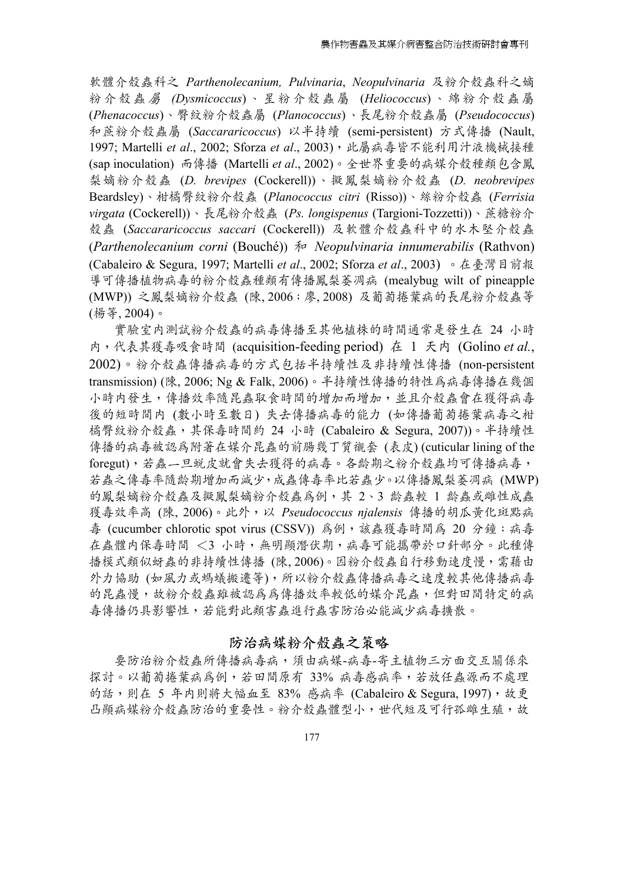軟體介殼蟲科之 *Parthenolecanium, Pulvinaria*, *Neopulvinaria* 及粉介殼蟲科之嫡 粉介殼蟲 屬 *(Dysmicoccus*) 、星粉介殼蟲屬 (*Heliococcus*) 、綿粉介殼蟲屬 (*Phenacoccus*)、臀紋粉介殼蟲屬 (*Planococcus*)、長尾粉介殼蟲屬 (*Pseudococcus*) 和蔗粉介殼蟲屬 (*Saccararicoccus*) 以半持續 (semi-persistent) 方式傳播 (Nault, 1997; Martelli *et al*., 2002; Sforza *et al*., 2003),此屬病毒皆不能利用汁液機械接種 (sap inoculation) 而傳播 (Martelli *et al*., 2002)。全世界重要的病媒介殼種類包含鳳 梨嫡粉介殼蟲 (*D. brevipes* (Cockerell))、擬鳳梨嫡粉介殼蟲 (*D. neobrevipes* Beardsley)、柑橘臀紋粉介殼蟲 (*Planococcus citri* (Risso))、絲粉介殼蟲 (*Ferrisia virgata* (Cockerell))、長尾粉介殼蟲 (*Ps. longispenus* (Targioni-Tozzetti))、蔗糖粉介 殼蟲 (*Saccararicoccus saccari* (Cockerell)) 及軟體介殼蟲科中的水木堅介殼蟲 (*Parthenolecanium corni* (Bouché)) 和 *Neopulvinaria innumerabilis* (Rathvon) (Cabaleiro & Segura, 1997; Martelli *et al*., 2002; Sforza *et al*., 2003) 。在臺灣目前報 導可傳播植物病毒的粉介殼蟲種類有傳播鳳梨萎凋病 (mealybug wilt of pineapple (MWP)) 之鳳梨嫡粉介殼蟲 (陳, 2006;廖, 2008) 及葡萄捲葉病的長尾粉介殼蟲等 (楊等, 2004)。

實驗室內測試粉介殼蟲的病毒傳播至其他植株的時間通常是發生在 24 小時 內,代表其獲毒吸食時間 (acquisition-feeding period) 在 1 天內 (Golino *et al.*, 2002)。粉介殼蟲傳播病毒的方式包括半持續性及非持續性傳播 (non-persistent transmission) (陳, 2006; Ng & Falk, 2006)。半持續性傳播的特性為病毒傳播在幾個 小時内發生,傳播效率隨昆蟲取食時間的增加而增加,並且介殼蟲會在獲得病毒 後的短時間內 (數小時至數日) 失去傳播病毒的能力 (如傳播葡萄捲葉病毒之柑 橘臀紋粉介殼蟲,其保毒時間約 24 小時 (Cabaleiro & Segura, 2007))。半持續性 傳播的病毒被認為附著在媒介昆蟲的前腸幾丁質襯套 (表皮) (cuticular lining of the foregut),若蟲一旦蛻皮就會失去獲得的病毒。各齡期之粉介殼蟲均可傳播病毒, 若蟲之傳毒率隨齡期增加而減少,成蟲傳毒率比若蟲少。以傳播鳳梨萎凋病 (MWP) 的鳳梨嫡粉介殼蟲及擬鳳梨嫡粉介殼蟲為例,其 2、3 齡蟲較 1 齡蟲或雌性成蟲 獲毒效率高 (陳, 2006)。此外,以 *Pseudococcus njalensis* 傳播的胡瓜黃化斑點病 毒 (cucumber chlorotic spot virus (CSSV)) 為例,該蟲獲毒時間為 20 分鐘;病毒 在蟲體内保毒時間 <3 小時,無明顯潛伏期,病毒可能攜帶於口針部分。此種傳 播模式類似蚜蟲的非持續性傳播 (陳, 2006)。因粉介殼蟲自行移動速度慢,需藉由 外力協助 (如風力或螞蟻搬遷等),所以粉介殼蟲傳播病毒之速度較其他傳播病毒 的昆蟲慢,故粉介殼蟲雖被認為為傳播效率較低的媒介昆蟲,但對田間特定的病 毒傳播仍具影響性,若能對此類害蟲進行蟲害防治必能減少病毒擴散。

## **防治病媒粉介殼蟲之策略**

要防治粉介殼蟲所傳播病毒病,須由病媒-病毒-寄主植物三方面交互關係來 探討。以葡萄捲葉病為例,若田間原有 33% 病毒感病率,若放任蟲源而不處理 的話,則在 5 年内則將大幅血至 83% 感病率 (Cabaleiro & Segura, 1997),故更 凸顯病媒粉介殼蟲防治的重要性。粉介殼蟲體型小,世代短及可行孤雌生殖,故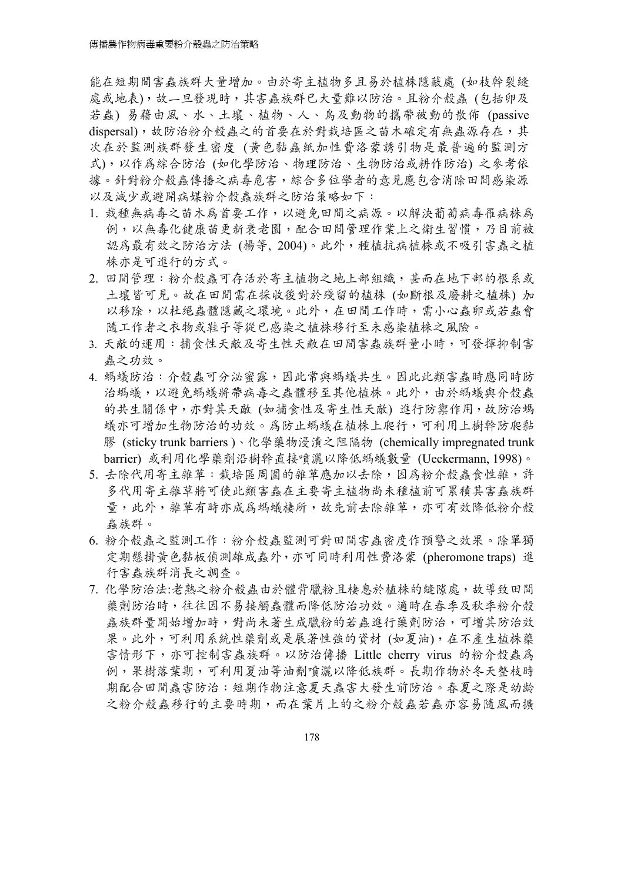能在短期間害蟲族群大量增加。由於寄主植物多且易於植株隱蔽處 (如枝幹裂縫 處或地表),故一旦發現時,其害蟲族群已大量難以防治。且粉介殼蟲 (包括卵及 若蟲) 易藉由風、水、土壤、植物、人、鳥及動物的攜帶被動的散佈 (passive dispersal),故防治粉介殼蟲之的首要在於對栽培區之苗木確定有無蟲源存在,其 次在於監測族群發生密度 (黃色黏蟲紙加性費洛蒙誘引物是最普遍的監測方 式),以作為綜合防治 (如化學防治、物理防治、生物防治或耕作防治) 之參考依 據。針對粉介殼蟲傳播之病毒危害,綜合多位學者的意見應包含消除田間感染源 以及減少或避開病媒粉介殼蟲族群之防治策略如下:

- 1. 栽種無病毒之苗木為首要工作,以避免田間之病源。以解決葡萄病毒罹病株為 例,以無毒化健康苗更新衰老園,配合田間管理作業上之衛生習慣,乃目前被 認為最有效之防治方法 (楊等, 2004)。此外,種植抗病植株或不吸引害蟲之植 株亦是可進行的方式。
- 2. 田間管理:粉介殼蟲可存活於寄主植物之地上部組織,甚而在地下部的根系或 土壤皆可見。故在田間需在採收後對於殘留的植株 (如斷根及廢耕之植株) 加 以移除,以杜絕蟲體隱藏之環境。此外,在田間工作時,需小心蟲卵或若蟲會 隨工作者之衣物或鞋子等從已感染之植株移行至未感染植株之風險。
- 3. 天敵的運用:捕食性天敵及寄生性天敵在田間害蟲族群量小時,可發揮抑制害 蟲之功效。
- 4. 螞蟻防治:介殼蟲可分泌蜜露,因此常與螞蟻共生。因此此類害蟲時應同時防 治螞蟻,以避免螞蟻將帶病毒之蟲體移至其他植株。此外,由於螞蟻與介殼蟲 的共生關係中,亦對其天敵 (如捕食性及寄生性天敵) 進行防禦作用,故防治螞 蟻亦可增加生物防治的功效。為防止螞蟻在植株上爬行,可利用上樹幹防爬黏 膠 (sticky trunk barriers )、化學藥物浸漬之阻隔物 (chemically impregnated trunk barrier) 或利用化學藥劑沿樹幹直接噴灑以降低螞蟻數量 (Ueckermann, 1998)。
- 5. 去除代用寄主雜草:栽培區周圍的雜草應加以去除,因為粉介殼蟲食性雜,許 多代用寄主雜草將可使此類害蟲在主要寄主植物尚未種植前可累積其害蟲族群 量,此外,雜草有時亦成為螞蟻棲所,故先前去除雜草,亦可有效降低粉介殼 蟲族群。
- 6. 粉介殼蟲之監測工作:粉介殼蟲監測可對田間害蟲密度作預警之效果。除單獨 定期懸掛黃色黏板偵測雄成蟲外,亦可同時利用性費洛蒙 (pheromone traps) 進 行害蟲族群消長之調查。
- 7. 化學防治法:老熟之粉介殼蟲由於體背臘粉且棲息於植株的縫隙處,故導致田間 藥劑防治時,往往因不易接觸蟲體而降低防治功效。適時在春季及秋季粉介殼 蟲族群量開始增加時,對尚未著生成臘粉的若蟲進行藥劑防治,可增其防治效 果。此外,可利用系統性藥劑或是展著性強的資材 (如夏油),在不產生植株藥 害情形下,亦可控制害蟲族群。以防治傳播 Little cherry virus 的粉介殼蟲為 例,果樹落葉期,可利用夏油等油劑噴灑以降低族群。長期作物於冬天整枝時 期配合田間蟲害防治;短期作物注意夏天蟲害大發生前防治。春夏之際是幼齡 之粉介殼蟲移行的主要時期,而在葉片上的之粉介殼蟲若蟲亦容易隨風而擴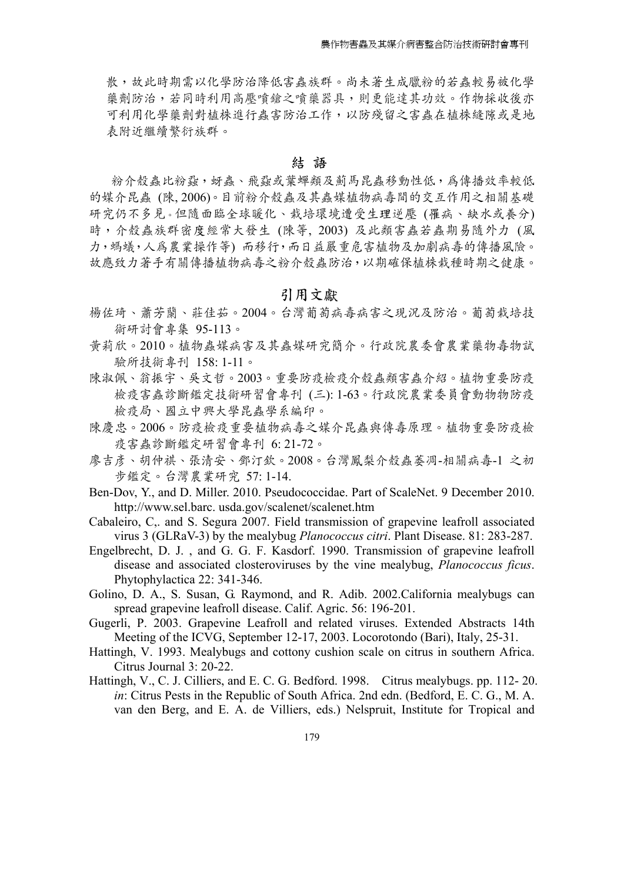散,故此時期需以化學防治降低害蟲族群。尚未著生成臘粉的若蟲較易被化學 藥劑防治,若同時利用高壓噴鎗之噴藥器具,則更能達其功效。作物採收後亦 可利用化學藥劑對植株進行蟲害防治工作,以防殘留之害蟲在植株縫隙或是地 表附近繼續繁衍族群。

#### **結 語**

粉介殼蟲比粉蝨,蚜蟲、飛蝨或葉蟬類及薊馬昆蟲移動性低,為傳播效率較低 的媒介昆蟲 (陳, 2006)。目前粉介殼蟲及其蟲媒植物病毒間的交互作用之相關基礎 研究仍不多見。但隨面臨全球暖化、栽培環境遭受生理逆壓 (罹病、缺水或養分) 時,介殼蟲族群密度經常大發生 (陳等, 2003) 及此類害蟲若蟲期易隨外力 (風 力,螞蟻,人為農業操作等) 而移行,而日益嚴重危害植物及加劇病毒的傳播風險。 故應致力著手有關傳播植物病毒之粉介殼蟲防治,以期確保植株栽種時期之健康。

#### **引用文獻**

- 楊佐琦、蕭芳蘭、莊佳茹。2004。台灣葡萄病毒病害之現況及防治。葡萄栽培技 術研討會專集 95-113。
- 黃莉欣。2010。植物蟲媒病害及其蟲媒研究簡介。行政院農委會農業藥物毒物試 驗所技術專刊 158: 1-11。
- 陳淑佩、翁振宇、吳文哲。2003。重要防疫檢疫介殼蟲類害蟲介紹。植物重要防疫 檢疫害蟲診斷鑑定技術研習會專刊 (三): 1-63。行政院農業委員會動物物防疫 檢疫局、國立中興大學昆蟲學系編印。
- 陳慶忠。2006。防疫檢疫重要植物病毒之媒介昆蟲與傳毒原理。植物重要防疫檢 疫害蟲診斷鑑定研習會專刊 6: 21-72。
- 廖吉彥、胡仲祺、張清安、鄧汀欽。2008。台灣鳳梨介殼蟲萎凋-相關病毒-1 之初 步鑑定。台灣農業研究 57: 1-14.
- Ben-Dov, Y., and D. Miller. 2010. Pseudococcidae. Part of ScaleNet. 9 December 2010. http://www.sel.barc. usda.gov/scalenet/scalenet.htm
- Cabaleiro, C,. and S. Segura 2007. Field transmission of grapevine leafroll associated virus 3 (GLRaV-3) by the mealybug *Planococcus citri*. Plant Disease. 81: 283-287.
- Engelbrecht, D. J. , and G. G. F. Kasdorf. 1990. Transmission of grapevine leafroll disease and associated closteroviruses by the vine mealybug, *Planococcus ficus*. Phytophylactica 22: 341-346.
- Golino, D. A., S. Susan, G. Raymond, and R. Adib. 2002.California mealybugs can spread grapevine leafroll disease. Calif. Agric. 56: 196-201.
- Gugerli, P. 2003. Grapevine Leafroll and related viruses. Extended Abstracts 14th Meeting of the ICVG, September 12-17, 2003. Locorotondo (Bari), Italy, 25-31.
- Hattingh, V. 1993. Mealybugs and cottony cushion scale on citrus in southern Africa. Citrus Journal 3: 20-22.
- Hattingh, V., C. J. Cilliers, and E. C. G. Bedford. 1998. Citrus mealybugs. pp. 112- 20. *in*: Citrus Pests in the Republic of South Africa. 2nd edn. (Bedford, E. C. G., M. A. van den Berg, and E. A. de Villiers, eds.) Nelspruit, Institute for Tropical and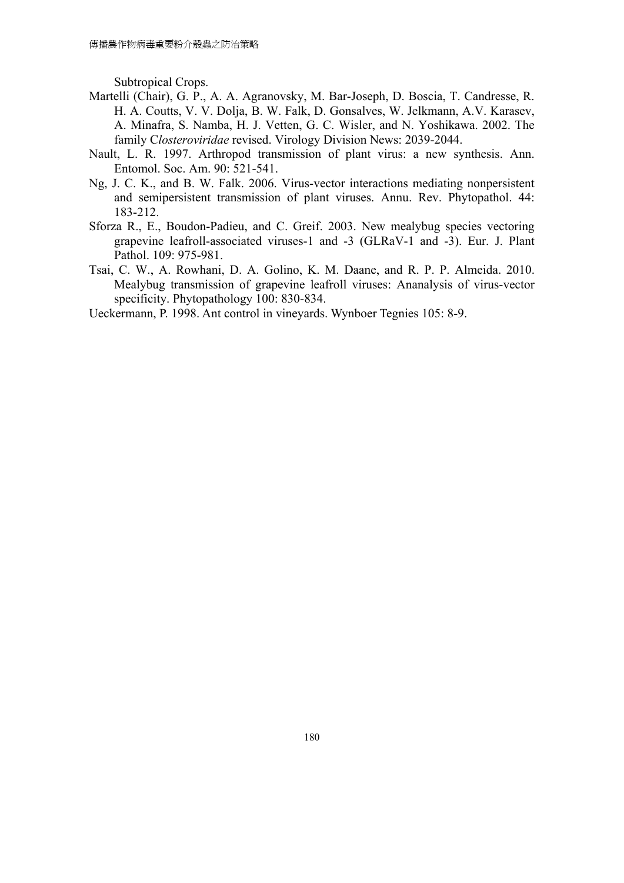Subtropical Crops.

- Martelli (Chair), G. P., A. A. Agranovsky, M. Bar-Joseph, D. Boscia, T. Candresse, R. H. A. Coutts, V. V. Dolja, B. W. Falk, D. Gonsalves, W. Jelkmann, A.V. Karasev, A. Minafra, S. Namba, H. J. Vetten, G. C. Wisler, and N. Yoshikawa. 2002. The family C*losteroviridae* revised. Virology Division News: 2039-2044.
- Nault, L. R. 1997. Arthropod transmission of plant virus: a new synthesis. Ann. Entomol. Soc. Am. 90: 521-541.
- Ng, J. C. K., and B. W. Falk. 2006. Virus-vector interactions mediating nonpersistent and semipersistent transmission of plant viruses. Annu. Rev. Phytopathol. 44: 183-212.
- Sforza R., E., Boudon-Padieu, and C. Greif. 2003. New mealybug species vectoring grapevine leafroll-associated viruses-1 and -3 (GLRaV-1 and -3). Eur. J. Plant Pathol. 109: 975-981.
- Tsai, C. W., A. Rowhani, D. A. Golino, K. M. Daane, and R. P. P. Almeida. 2010. Mealybug transmission of grapevine leafroll viruses: Ananalysis of virus-vector specificity. Phytopathology 100: 830-834.
- Ueckermann, P. 1998. Ant control in vineyards. Wynboer Tegnies 105: 8-9.